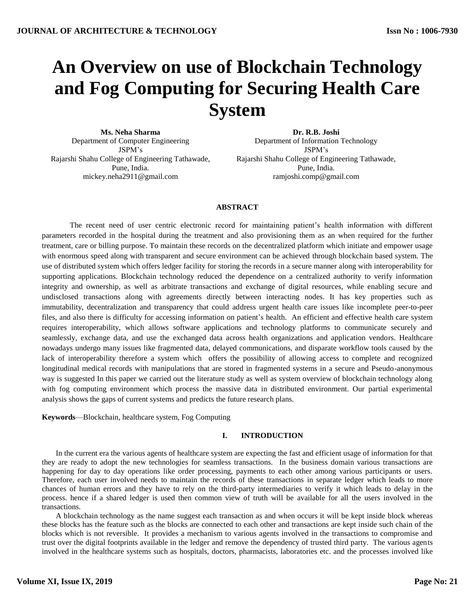# **An Overview on use of Blockchain Technology and Fog Computing for Securing Health Care System**

**Ms. Neha Sharma** Department of Computer Engineering JSPM's Rajarshi Shahu College of Engineering Tathawade, Pune, India. mickey.neha2911@gmail.com

**Dr. R.B. Joshi** Department of Information Technology JSPM's Rajarshi Shahu College of Engineering Tathawade, Pune, India. ramjoshi.comp@gmail.com

## **ABSTRACT**

The recent need of user centric electronic record for maintaining patient's health information with different parameters recorded in the hospital during the treatment and also provisioning them as an when required for the further treatment, care or billing purpose. To maintain these records on the decentralized platform which initiate and empower usage with enormous speed along with transparent and secure environment can be achieved through blockchain based system. The use of distributed system which offers ledger facility for storing the records in a secure manner along with interoperability for supporting applications. Blockchain technology reduced the dependence on a centralized authority to verify information integrity and ownership, as well as arbitrate transactions and exchange of digital resources, while enabling secure and undisclosed transactions along with agreements directly between interacting nodes. It has key properties such as immutability, decentralization and transparency that could address urgent health care issues like incomplete peer-to-peer files, and also there is difficulty for accessing information on patient's health. An efficient and effective health care system requires interoperability, which allows software applications and technology platforms to communicate securely and seamlessly, exchange data, and use the exchanged data across health organizations and application vendors. Healthcare nowadays undergo many issues like fragmented data, delayed communications, and disparate workflow tools caused by the lack of interoperability therefore a system which offers the possibility of allowing access to complete and recognized longitudinal medical records with manipulations that are stored in fragmented systems in a secure and Pseudo-anonymous way is suggested In this paper we carried out the literature study as well as system overview of blockchain technology along with fog computing environment which process the massive data in distributed environment. Our partial experimental analysis shows the gaps of current systems and predicts the future research plans.

**Keywords**—Blockchain, healthcare system, Fog Computing

# **I. INTRODUCTION**

In the current era the various agents of healthcare system are expecting the fast and efficient usage of information for that they are ready to adopt the new technologies for seamless transactions. In the business domain various transactions are happening for day to day operations like order processing, payments to each other among various participants or users. Therefore, each user involved needs to maintain the records of these transactions in separate ledger which leads to more chances of human errors and they have to rely on the third-party intermediaries to verify it which leads to delay in the process. hence if a shared ledger is used then common view of truth will be available for all the users involved in the transactions.

A blockchain technology as the name suggest each transaction as and when occurs it will be kept inside block whereas these blocks has the feature such as the blocks are connected to each other and transactions are kept inside such chain of the blocks which is not reversible. It provides a mechanism to various agents involved in the transactions to compromise and trust over the digital footprints available in the ledger and remove the dependency of trusted third party. The various agents involved in the healthcare systems such as hospitals, doctors, pharmacists, laboratories etc. and the processes involved like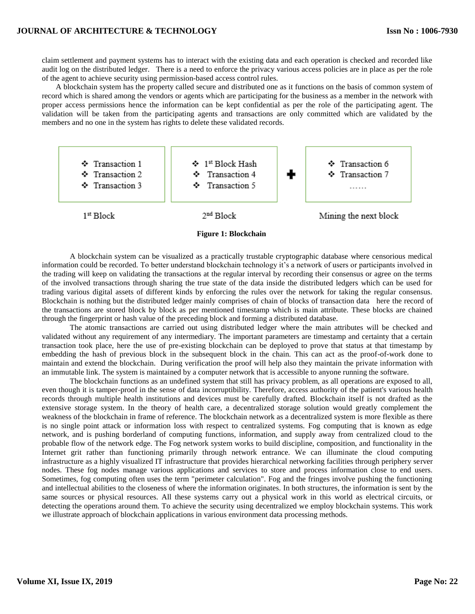claim settlement and payment systems has to interact with the existing data and each operation is checked and recorded like audit log on the distributed ledger. There is a need to enforce the privacy various access policies are in place as per the role of the agent to achieve security using permission-based access control rules.

A blockchain system has the property called secure and distributed one as it functions on the basis of common system of record which is shared among the vendors or agents which are participating for the business as a member in the network with proper access permissions hence the information can be kept confidential as per the role of the participating agent. The validation will be taken from the participating agents and transactions are only committed which are validated by the members and no one in the system has rights to delete these validated records.



**Figure 1: Blockchain**

A blockchain system can be visualized as a practically trustable cryptographic database where censorious medical information could be recorded. To better understand blockchain technology it's a network of users or participants involved in the trading will keep on validating the transactions at the regular interval by recording their consensus or agree on the terms of the involved transactions through sharing the true state of the data inside the distributed ledgers which can be used for trading various digital assets of different kinds by enforcing the rules over the network for taking the regular consensus. Blockchain is nothing but the distributed ledger mainly comprises of chain of blocks of transaction data here the record of the transactions are stored block by block as per mentioned timestamp which is main attribute. These blocks are chained through the fingerprint or hash value of the preceding block and forming a distributed database.

The atomic transactions are carried out using distributed ledger where the main attributes will be checked and validated without any requirement of any intermediary. The important parameters are timestamp and certainty that a certain transaction took place, here the use of pre-existing blockchain can be deployed to prove that status at that timestamp by embedding the hash of previous block in the subsequent block in the chain. This can act as the proof-of-work done to maintain and extend the blockchain. During verification the proof will help also they maintain the private information with an immutable link. The system is maintained by a computer network that is accessible to anyone running the software.

The blockchain functions as an undefined system that still has privacy problem, as all operations are exposed to all, even though it is tamper-proof in the sense of data incorruptibility. Therefore, access authority of the patient's various health records through multiple health institutions and devices must be carefully drafted. Blockchain itself is not drafted as the extensive storage system. In the theory of health care, a decentralized storage solution would greatly complement the weakness of the blockchain in frame of reference. The blockchain network as a decentralized system is more flexible as there is no single point attack or information loss with respect to centralized systems. Fog computing that is known as edge network, and is pushing borderland of computing functions, information, and supply away from centralized cloud to the probable flow of the network edge. The Fog network system works to build discipline, composition, and functionality in the Internet grit rather than functioning primarily through network entrance. We can illuminate the cloud computing infrastructure as a highly visualized IT infrastructure that provides hierarchical networking facilities through periphery server nodes. These fog nodes manage various applications and services to store and process information close to end users. Sometimes, fog computing often uses the term "perimeter calculation". Fog and the fringes involve pushing the functioning and intellectual abilities to the closeness of where the information originates. In both structures, the information is sent by the same sources or physical resources. All these systems carry out a physical work in this world as electrical circuits, or detecting the operations around them. To achieve the security using decentralized we employ blockchain systems. This work we illustrate approach of blockchain applications in various environment data processing methods.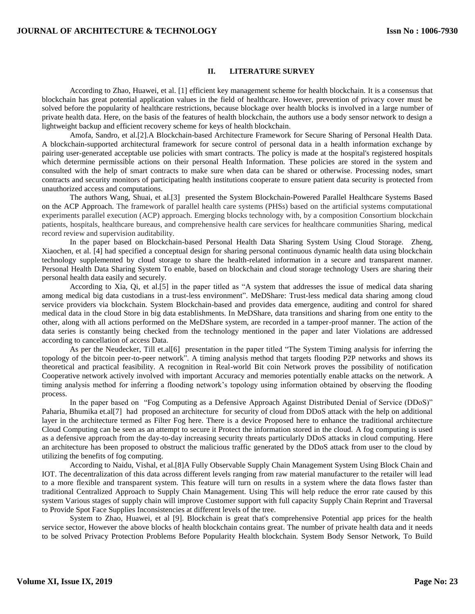#### **II. LITERATURE SURVEY**

According to Zhao, Huawei, et al. [1] efficient key management scheme for health blockchain. It is a consensus that blockchain has great potential application values in the field of healthcare. However, prevention of privacy cover must be solved before the popularity of healthcare restrictions, because blockage over health blocks is involved in a large number of private health data. Here, on the basis of the features of health blockchain, the authors use a body sensor network to design a lightweight backup and efficient recovery scheme for keys of health blockchain.

Amofa, Sandro, et al.[2].A Blockchain-based Architecture Framework for Secure Sharing of Personal Health Data. A blockchain-supported architectural framework for secure control of personal data in a health information exchange by pairing user-generated acceptable use policies with smart contracts. The policy is made at the hospital's registered hospitals which determine permissible actions on their personal Health Information. These policies are stored in the system and consulted with the help of smart contracts to make sure when data can be shared or otherwise. Processing nodes, smart contracts and security monitors of participating health institutions cooperate to ensure patient data security is protected from unauthorized access and computations.

The authors Wang, Shuai, et al.[3] presented the System Blockchain-Powered Parallel Healthcare Systems Based on the ACP Approach. The framework of parallel health care systems (PHSs) based on the artificial systems computational experiments parallel execution (ACP) approach. Emerging blocks technology with, by a composition Consortium blockchain patients, hospitals, healthcare bureaus, and comprehensive health care services for healthcare communities Sharing, medical record review and supervision auditability.

In the paper based on Blockchain-based Personal Health Data Sharing System Using Cloud Storage. Zheng, Xiaochen, et al. [4] had specified a conceptual design for sharing personal continuous dynamic health data using blockchain technology supplemented by cloud storage to share the health-related information in a secure and transparent manner. Personal Health Data Sharing System To enable, based on blockchain and cloud storage technology Users are sharing their personal health data easily and securely.

According to Xia, Qi, et al.[5] in the paper titled as "A system that addresses the issue of medical data sharing among medical big data custodians in a trust-less environment". MeDShare: Trust-less medical data sharing among cloud service providers via blockchain. System Blockchain-based and provides data emergence, auditing and control for shared medical data in the cloud Store in big data establishments. In MeDShare, data transitions and sharing from one entity to the other, along with all actions performed on the MeDShare system, are recorded in a tamper-proof manner. The action of the data series is constantly being checked from the technology mentioned in the paper and later Violations are addressed according to cancellation of access Data.

As per the Neudecker, Till et.al[6] presentation in the paper titled "The System Timing analysis for inferring the topology of the bitcoin peer-to-peer network". A timing analysis method that targets flooding P2P networks and shows its theoretical and practical feasibility. A recognition in Real-world Bit coin Network proves the possibility of notification Cooperative network actively involved with important Accuracy and memories potentially enable attacks on the network. A timing analysis method for inferring a flooding network's topology using information obtained by observing the flooding process.

In the paper based on "Fog Computing as a Defensive Approach Against Distributed Denial of Service (DDoS)" Paharia, Bhumika et.al[7] had proposed an architecture for security of cloud from DDoS attack with the help on additional layer in the architecture termed as Filter Fog here. There is a device Proposed here to enhance the traditional architecture Cloud Computing can be seen as an attempt to secure it Protect the information stored in the cloud. A fog computing is used as a defensive approach from the day-to-day increasing security threats particularly DDoS attacks in cloud computing. Here an architecture has been proposed to obstruct the malicious traffic generated by the DDoS attack from user to the cloud by utilizing the benefits of fog computing.

According to Naidu, Vishal, et al.[8]A Fully Observable Supply Chain Management System Using Block Chain and IOT. The decentralization of this data across different levels ranging from raw material manufacturer to the retailer will lead to a more flexible and transparent system. This feature will turn on results in a system where the data flows faster than traditional Centralized Approach to Supply Chain Management. Using This will help reduce the error rate caused by this system Various stages of supply chain will improve Customer support with full capacity Supply Chain Reprint and Traversal to Provide Spot Face Supplies Inconsistencies at different levels of the tree.

System to Zhao, Huawei, et al [9]. Blockchain is great that's comprehensive Potential app prices for the health service sector, However the above blocks of health blockchain contains great. The number of private health data and it needs to be solved Privacy Protection Problems Before Popularity Health blockchain. System Body Sensor Network, To Build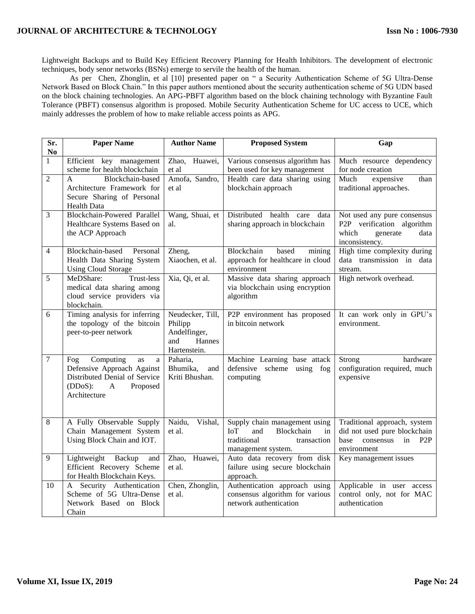# **JOURNAL OF ARCHITECTURE & TECHNOLOGY**

Lightweight Backups and to Build Key Efficient Recovery Planning for Health Inhibitors. The development of electronic techniques, body senor networks (BSNs) emerge to servile the health of the human.

As per Chen, Zhonglin, et al [10] presented paper on " a Security Authentication Scheme of 5G Ultra-Dense Network Based on Block Chain." In this paper authors mentioned about the security authentication scheme of 5G UDN based on the block chaining technologies. An APG-PBFT algorithm based on the block chaining technology with Byzantine Fault Tolerance (PBFT) consensus algorithm is proposed. Mobile Security Authentication Scheme for UC access to UCE, which mainly addresses the problem of how to make reliable access points as APG.

| Sr.<br>No      | <b>Paper Name</b>                                                                                                                         | <b>Author Name</b>                                                           | <b>Proposed System</b>                                                                                                     | Gap                                                                                                               |
|----------------|-------------------------------------------------------------------------------------------------------------------------------------------|------------------------------------------------------------------------------|----------------------------------------------------------------------------------------------------------------------------|-------------------------------------------------------------------------------------------------------------------|
| $\mathbf{1}$   | Efficient key management<br>scheme for health blockchain                                                                                  | Zhao, Huawei,<br>et al                                                       | Various consensus algorithm has<br>been used for key management                                                            | Much resource dependency<br>for node creation                                                                     |
| $\overline{2}$ | Blockchain-based<br>$\mathbf{A}$<br>Architecture Framework for<br>Secure Sharing of Personal<br>Health Data                               | Amofa, Sandro,<br>et al                                                      | Health care data sharing using<br>blockchain approach                                                                      | Much<br>expensive<br>than<br>traditional approaches.                                                              |
| 3              | Blockchain-Powered Parallel<br>Healthcare Systems Based on<br>the ACP Approach                                                            | Wang, Shuai, et<br>al.                                                       | Distributed health<br>care<br>data<br>sharing approach in blockchain                                                       | Not used any pure consensus<br>P2P verification algorithm<br>which<br>generate<br>data<br>inconsistency.          |
| 4              | Blockchain-based<br>Personal<br>Health Data Sharing System<br><b>Using Cloud Storage</b>                                                  | Zheng,<br>Xiaochen, et al.                                                   | Blockchain<br>based<br>mining<br>approach for healthcare in cloud<br>environment                                           | High time complexity during<br>data transmission in data<br>stream.                                               |
| 5              | MeDShare:<br>Trust-less<br>medical data sharing among<br>cloud service providers via<br>blockchain.                                       | Xia, Qi, et al.                                                              | Massive data sharing approach<br>via blockchain using encryption<br>algorithm                                              | High network overhead.                                                                                            |
| 6              | Timing analysis for inferring<br>the topology of the bitcoin<br>peer-to-peer network                                                      | Neudecker, Till,<br>Philipp<br>Andelfinger,<br>Hannes<br>and<br>Hartenstein. | P2P environment has proposed<br>in bitcoin network                                                                         | It can work only in GPU's<br>environment.                                                                         |
| $\overline{7}$ | Computing<br>Fog<br>as<br>a<br>Defensive Approach Against<br>Distributed Denial of Service<br>$(DDoS)$ :<br>A<br>Proposed<br>Architecture | Paharia,<br>Bhumika,<br>and<br>Kriti Bhushan.                                | Machine Learning base attack<br>defensive scheme using fog<br>computing                                                    | Strong<br>hardware<br>configuration required, much<br>expensive                                                   |
| 8              | A Fully Observable Supply<br>Chain Management System<br>Using Block Chain and IOT.                                                        | Naidu,<br>Vishal,<br>et al.                                                  | Supply chain management using<br><b>IoT</b><br>and<br>Blockchain<br>in<br>traditional<br>transaction<br>management system. | Traditional approach, system<br>did not used pure blockchain<br>in P2P<br><b>base</b><br>consensus<br>environment |
| 9              | Lightweight<br>Backup<br>and<br>Efficient Recovery Scheme<br>for Health Blockchain Keys.                                                  | Zhao,<br>Huawei,<br>et al.                                                   | Auto data recovery from disk<br>failure using secure blockchain<br>approach.                                               | Key management issues                                                                                             |
| 10             | Security Authentication<br>A<br>Scheme of 5G Ultra-Dense<br>Network Based on Block<br>Chain                                               | Chen, Zhonglin,<br>et al.                                                    | Authentication approach using<br>consensus algorithm for various<br>network authentication                                 | Applicable in user access<br>control only, not for MAC<br>authentication                                          |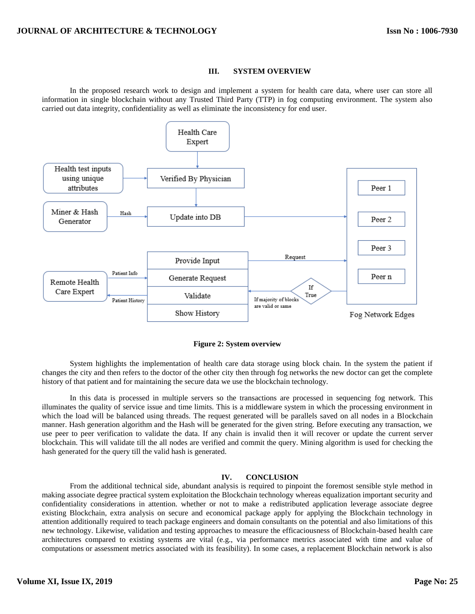#### **III. SYSTEM OVERVIEW**

In the proposed research work to design and implement a system for health care data, where user can store all information in single blockchain without any Trusted Third Party (TTP) in fog computing environment. The system also carried out data integrity, confidentiality as well as eliminate the inconsistency for end user.



**Figure 2: System overview**

System highlights the implementation of health care data storage using block chain. In the system the patient if changes the city and then refers to the doctor of the other city then through fog networks the new doctor can get the complete history of that patient and for maintaining the secure data we use the blockchain technology.

In this data is processed in multiple servers so the transactions are processed in sequencing fog network. This illuminates the quality of service issue and time limits. This is a middleware system in which the processing environment in which the load will be balanced using threads. The request generated will be parallels saved on all nodes in a Blockchain manner. Hash generation algorithm and the Hash will be generated for the given string. Before executing any transaction, we use peer to peer verification to validate the data. If any chain is invalid then it will recover or update the current server blockchain. This will validate till the all nodes are verified and commit the query. Mining algorithm is used for checking the hash generated for the query till the valid hash is generated.

## **IV. CONCLUSION**

From the additional technical side, abundant analysis is required to pinpoint the foremost sensible style method in making associate degree practical system exploitation the Blockchain technology whereas equalization important security and confidentiality considerations in attention. whether or not to make a redistributed application leverage associate degree existing Blockchain, extra analysis on secure and economical package apply for applying the Blockchain technology in attention additionally required to teach package engineers and domain consultants on the potential and also limitations of this new technology. Likewise, validation and testing approaches to measure the efficaciousness of Blockchain-based health care architectures compared to existing systems are vital (e.g., via performance metrics associated with time and value of computations or assessment metrics associated with its feasibility). In some cases, a replacement Blockchain network is also